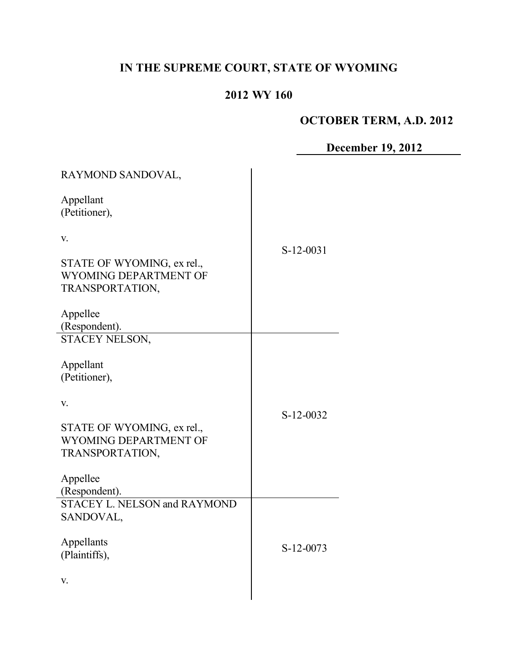# **IN THE SUPREME COURT, STATE OF WYOMING**

# **2012 WY 160**

# **OCTOBER TERM, A.D. 2012**

**December 19, 2012**

| RAYMOND SANDOVAL,                                                                                                                       |           |
|-----------------------------------------------------------------------------------------------------------------------------------------|-----------|
| Appellant<br>(Petitioner),                                                                                                              |           |
| V.<br>STATE OF WYOMING, ex rel.,<br>WYOMING DEPARTMENT OF<br>TRANSPORTATION,<br>Appellee                                                | S-12-0031 |
| (Respondent).<br><b>STACEY NELSON,</b>                                                                                                  |           |
| Appellant<br>(Petitioner),<br>V.<br>STATE OF WYOMING, ex rel.,<br>WYOMING DEPARTMENT OF<br>TRANSPORTATION,<br>Appellee<br>(Respondent). | S-12-0032 |
| <b>STACEY L. NELSON and RAYMOND</b><br>SANDOVAL,<br>Appellants<br>(Plaintiffs),<br>V.                                                   | S-12-0073 |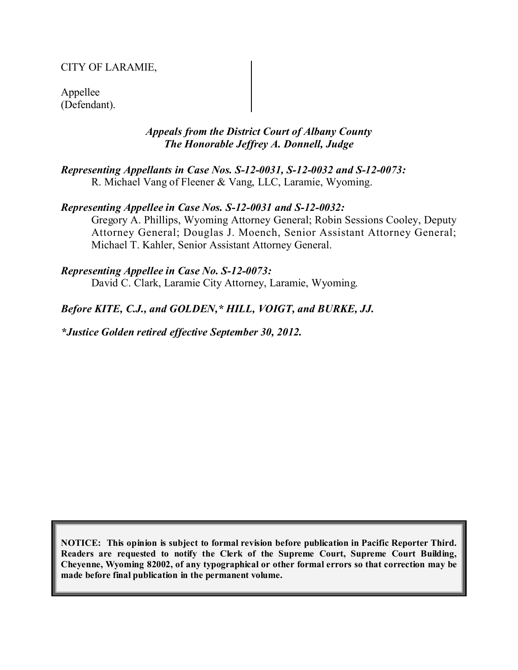### CITY OF LARAMIE,

Appellee (Defendant).

#### *Appeals from the District Court of Albany County The Honorable Jeffrey A. Donnell, Judge*

*Representing Appellants in Case Nos. S-12-0031, S-12-0032 and S-12-0073:* R. Michael Vang of Fleener & Vang, LLC, Laramie, Wyoming.

#### *Representing Appellee in Case Nos. S-12-0031 and S-12-0032:*

Gregory A. Phillips, Wyoming Attorney General; Robin Sessions Cooley, Deputy Attorney General; Douglas J. Moench, Senior Assistant Attorney General; Michael T. Kahler, Senior Assistant Attorney General.

#### *Representing Appellee in Case No. S-12-0073:*

David C. Clark, Laramie City Attorney, Laramie, Wyoming.

#### *Before KITE, C.J., and GOLDEN,\* HILL, VOIGT, and BURKE, JJ.*

*\*Justice Golden retired effective September 30, 2012.*

**NOTICE: This opinion is subject to formal revision before publication in Pacific Reporter Third. Readers are requested to notify the Clerk of the Supreme Court, Supreme Court Building, Cheyenne, Wyoming 82002, of any typographical or other formal errors so that correction may be made before final publication in the permanent volume.**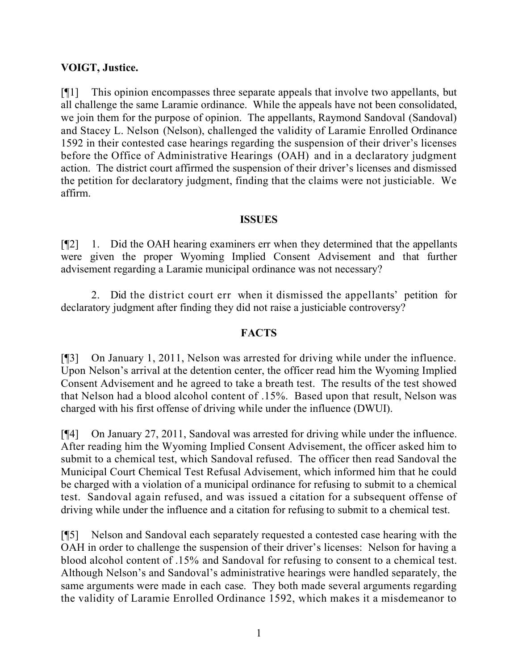## **VOIGT, Justice.**

[¶1] This opinion encompasses three separate appeals that involve two appellants, but all challenge the same Laramie ordinance. While the appeals have not been consolidated, we join them for the purpose of opinion. The appellants, Raymond Sandoval (Sandoval) and Stacey L. Nelson (Nelson), challenged the validity of Laramie Enrolled Ordinance 1592 in their contested case hearings regarding the suspension of their driver's licenses before the Office of Administrative Hearings (OAH) and in a declaratory judgment action. The district court affirmed the suspension of their driver's licenses and dismissed the petition for declaratory judgment, finding that the claims were not justiciable. We affirm.

#### **ISSUES**

[¶2] 1. Did the OAH hearing examiners err when they determined that the appellants were given the proper Wyoming Implied Consent Advisement and that further advisement regarding a Laramie municipal ordinance was not necessary?

2. Did the district court err when it dismissed the appellants' petition for declaratory judgment after finding they did not raise a justiciable controversy?

#### **FACTS**

[¶3] On January 1, 2011, Nelson was arrested for driving while under the influence. Upon Nelson's arrival at the detention center, the officer read him the Wyoming Implied Consent Advisement and he agreed to take a breath test. The results of the test showed that Nelson had a blood alcohol content of .15%. Based upon that result, Nelson was charged with his first offense of driving while under the influence (DWUI).

[¶4] On January 27, 2011, Sandoval was arrested for driving while under the influence. After reading him the Wyoming Implied Consent Advisement, the officer asked him to submit to a chemical test, which Sandoval refused. The officer then read Sandoval the Municipal Court Chemical Test Refusal Advisement, which informed him that he could be charged with a violation of a municipal ordinance for refusing to submit to a chemical test. Sandoval again refused, and was issued a citation for a subsequent offense of driving while under the influence and a citation for refusing to submit to a chemical test.

[¶5] Nelson and Sandoval each separately requested a contested case hearing with the OAH in order to challenge the suspension of their driver's licenses: Nelson for having a blood alcohol content of .15% and Sandoval for refusing to consent to a chemical test. Although Nelson's and Sandoval's administrative hearings were handled separately, the same arguments were made in each case. They both made several arguments regarding the validity of Laramie Enrolled Ordinance 1592, which makes it a misdemeanor to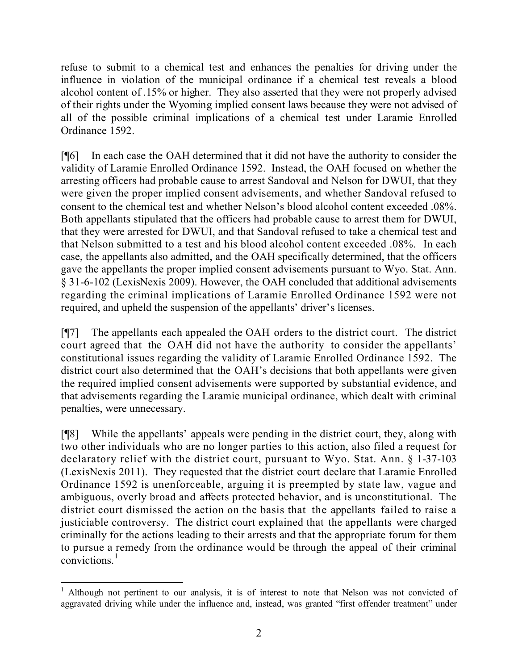refuse to submit to a chemical test and enhances the penalties for driving under the influence in violation of the municipal ordinance if a chemical test reveals a blood alcohol content of .15% or higher. They also asserted that they were not properly advised of their rights under the Wyoming implied consent laws because they were not advised of all of the possible criminal implications of a chemical test under Laramie Enrolled Ordinance 1592.

[¶6] In each case the OAH determined that it did not have the authority to consider the validity of Laramie Enrolled Ordinance 1592. Instead, the OAH focused on whether the arresting officers had probable cause to arrest Sandoval and Nelson for DWUI, that they were given the proper implied consent advisements, and whether Sandoval refused to consent to the chemical test and whether Nelson's blood alcohol content exceeded .08%. Both appellants stipulated that the officers had probable cause to arrest them for DWUI, that they were arrested for DWUI, and that Sandoval refused to take a chemical test and that Nelson submitted to a test and his blood alcohol content exceeded .08%. In each case, the appellants also admitted, and the OAH specifically determined, that the officers gave the appellants the proper implied consent advisements pursuant to Wyo. Stat. Ann. § 31-6-102 (LexisNexis 2009). However, the OAH concluded that additional advisements regarding the criminal implications of Laramie Enrolled Ordinance 1592 were not required, and upheld the suspension of the appellants' driver's licenses.

[¶7] The appellants each appealed the OAH orders to the district court. The district court agreed that the OAH did not have the authority to consider the appellants' constitutional issues regarding the validity of Laramie Enrolled Ordinance 1592. The district court also determined that the OAH's decisions that both appellants were given the required implied consent advisements were supported by substantial evidence, and that advisements regarding the Laramie municipal ordinance, which dealt with criminal penalties, were unnecessary.

[¶8] While the appellants' appeals were pending in the district court, they, along with two other individuals who are no longer parties to this action, also filed a request for declaratory relief with the district court, pursuant to Wyo. Stat. Ann. § 1-37-103 (LexisNexis 2011). They requested that the district court declare that Laramie Enrolled Ordinance 1592 is unenforceable, arguing it is preempted by state law, vague and ambiguous, overly broad and affects protected behavior, and is unconstitutional. The district court dismissed the action on the basis that the appellants failed to raise a justiciable controversy. The district court explained that the appellants were charged criminally for the actions leading to their arrests and that the appropriate forum for them to pursue a remedy from the ordinance would be through the appeal of their criminal convictions.<sup>1</sup>

l <sup>1</sup> Although not pertinent to our analysis, it is of interest to note that Nelson was not convicted of aggravated driving while under the influence and, instead, was granted "first offender treatment" under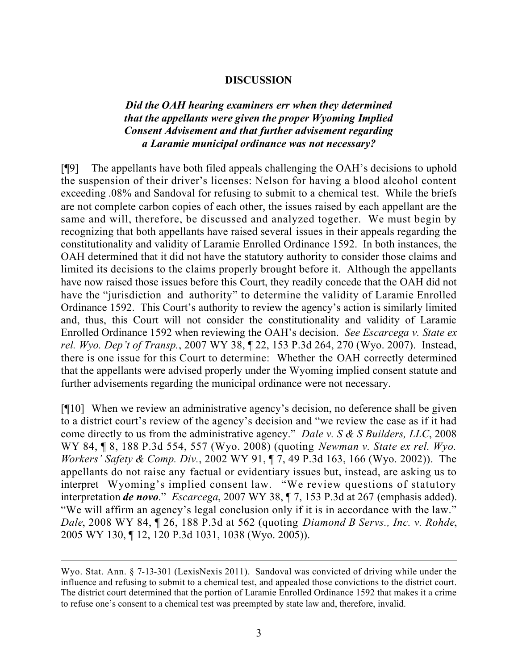#### **DISCUSSION**

## *Did the OAH hearing examiners err when they determined that the appellants were given the proper Wyoming Implied Consent Advisement and that further advisement regarding a Laramie municipal ordinance was not necessary?*

[¶9] The appellants have both filed appeals challenging the OAH's decisions to uphold the suspension of their driver's licenses: Nelson for having a blood alcohol content exceeding .08% and Sandoval for refusing to submit to a chemical test. While the briefs are not complete carbon copies of each other, the issues raised by each appellant are the same and will, therefore, be discussed and analyzed together. We must begin by recognizing that both appellants have raised several issues in their appeals regarding the constitutionality and validity of Laramie Enrolled Ordinance 1592. In both instances, the OAH determined that it did not have the statutory authority to consider those claims and limited its decisions to the claims properly brought before it. Although the appellants have now raised those issues before this Court, they readily concede that the OAH did not have the "jurisdiction and authority" to determine the validity of Laramie Enrolled Ordinance 1592. This Court's authority to review the agency's action is similarly limited and, thus, this Court will not consider the constitutionality and validity of Laramie Enrolled Ordinance 1592 when reviewing the OAH's decision. *See Escarcega v. State ex rel. Wyo. Dep't of Transp.*, 2007 WY 38, ¶ 22, 153 P.3d 264, 270 (Wyo. 2007). Instead, there is one issue for this Court to determine: Whether the OAH correctly determined that the appellants were advised properly under the Wyoming implied consent statute and further advisements regarding the municipal ordinance were not necessary.

[¶10] When we review an administrative agency's decision, no deference shall be given to a district court's review of the agency's decision and "we review the case as if it had come directly to us from the administrative agency." *Dale v. S & S Builders, LLC*, 2008 WY 84, ¶ 8, 188 P.3d 554, 557 (Wyo. 2008) (quoting *Newman v. State ex rel. Wyo. Workers' Safety & Comp. Div.*, 2002 WY 91, ¶ 7, 49 P.3d 163, 166 (Wyo. 2002)). The appellants do not raise any factual or evidentiary issues but, instead, are asking us to interpret Wyoming's implied consent law. "We review questions of statutory interpretation *de novo*." *Escarcega*, 2007 WY 38, ¶ 7, 153 P.3d at 267 (emphasis added). "We will affirm an agency's legal conclusion only if it is in accordance with the law." *Dale*, 2008 WY 84, ¶ 26, 188 P.3d at 562 (quoting *Diamond B Servs., Inc. v. Rohde*, 2005 WY 130, ¶ 12, 120 P.3d 1031, 1038 (Wyo. 2005)).

 $\overline{a}$ 

Wyo. Stat. Ann. § 7-13-301 (LexisNexis 2011). Sandoval was convicted of driving while under the influence and refusing to submit to a chemical test, and appealed those convictions to the district court. The district court determined that the portion of Laramie Enrolled Ordinance 1592 that makes it a crime to refuse one's consent to a chemical test was preempted by state law and, therefore, invalid.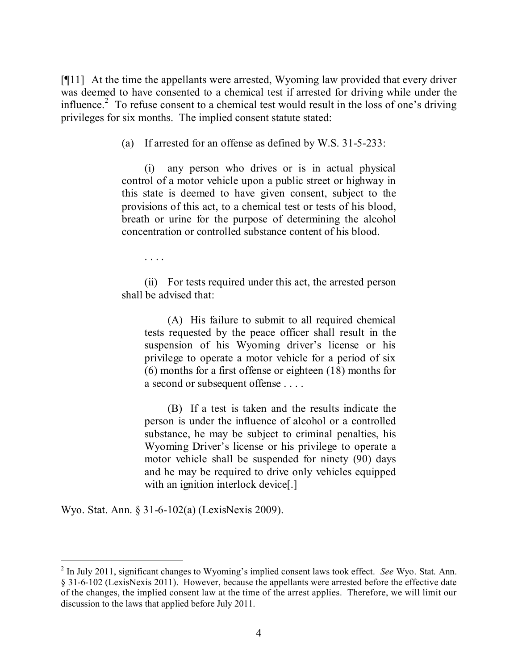[¶11] At the time the appellants were arrested, Wyoming law provided that every driver was deemed to have consented to a chemical test if arrested for driving while under the influence.<sup>2</sup> To refuse consent to a chemical test would result in the loss of one's driving privileges for six months. The implied consent statute stated:

(a) If arrested for an offense as defined by W.S. 31-5-233:

(i) any person who drives or is in actual physical control of a motor vehicle upon a public street or highway in this state is deemed to have given consent, subject to the provisions of this act, to a chemical test or tests of his blood, breath or urine for the purpose of determining the alcohol concentration or controlled substance content of his blood.

. . . .

(ii) For tests required under this act, the arrested person shall be advised that:

(A) His failure to submit to all required chemical tests requested by the peace officer shall result in the suspension of his Wyoming driver's license or his privilege to operate a motor vehicle for a period of six (6) months for a first offense or eighteen (18) months for a second or subsequent offense . . . .

(B) If a test is taken and the results indicate the person is under the influence of alcohol or a controlled substance, he may be subject to criminal penalties, his Wyoming Driver's license or his privilege to operate a motor vehicle shall be suspended for ninety (90) days and he may be required to drive only vehicles equipped with an ignition interlock device[.]

Wyo. Stat. Ann. § 31-6-102(a) (LexisNexis 2009).

 $\overline{a}$ 

<sup>2</sup> In July 2011, significant changes to Wyoming's implied consent laws took effect. *See* Wyo. Stat. Ann. § 31-6-102 (LexisNexis 2011). However, because the appellants were arrested before the effective date of the changes, the implied consent law at the time of the arrest applies. Therefore, we will limit our discussion to the laws that applied before July 2011.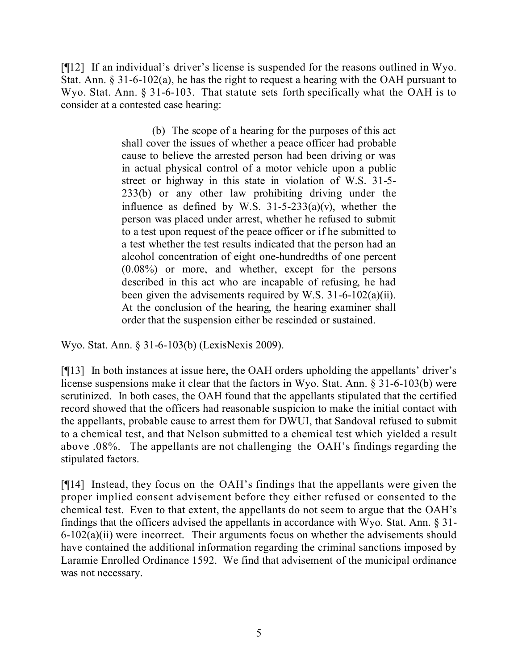[¶12] If an individual's driver's license is suspended for the reasons outlined in Wyo. Stat. Ann. § 31-6-102(a), he has the right to request a hearing with the OAH pursuant to Wyo. Stat. Ann. § 31-6-103. That statute sets forth specifically what the OAH is to consider at a contested case hearing:

> (b) The scope of a hearing for the purposes of this act shall cover the issues of whether a peace officer had probable cause to believe the arrested person had been driving or was in actual physical control of a motor vehicle upon a public street or highway in this state in violation of W.S. 31-5- 233(b) or any other law prohibiting driving under the influence as defined by W.S.  $31-5-233(a)(v)$ , whether the person was placed under arrest, whether he refused to submit to a test upon request of the peace officer or if he submitted to a test whether the test results indicated that the person had an alcohol concentration of eight one-hundredths of one percent (0.08%) or more, and whether, except for the persons described in this act who are incapable of refusing, he had been given the advisements required by W.S. 31-6-102(a)(ii). At the conclusion of the hearing, the hearing examiner shall order that the suspension either be rescinded or sustained.

Wyo. Stat. Ann. § 31-6-103(b) (LexisNexis 2009).

[¶13] In both instances at issue here, the OAH orders upholding the appellants' driver's license suspensions make it clear that the factors in Wyo. Stat. Ann. § 31-6-103(b) were scrutinized. In both cases, the OAH found that the appellants stipulated that the certified record showed that the officers had reasonable suspicion to make the initial contact with the appellants, probable cause to arrest them for DWUI, that Sandoval refused to submit to a chemical test, and that Nelson submitted to a chemical test which yielded a result above .08%. The appellants are not challenging the OAH's findings regarding the stipulated factors.

[¶14] Instead, they focus on the OAH's findings that the appellants were given the proper implied consent advisement before they either refused or consented to the chemical test. Even to that extent, the appellants do not seem to argue that the OAH's findings that the officers advised the appellants in accordance with Wyo. Stat. Ann. § 31- 6-102(a)(ii) were incorrect. Their arguments focus on whether the advisements should have contained the additional information regarding the criminal sanctions imposed by Laramie Enrolled Ordinance 1592. We find that advisement of the municipal ordinance was not necessary.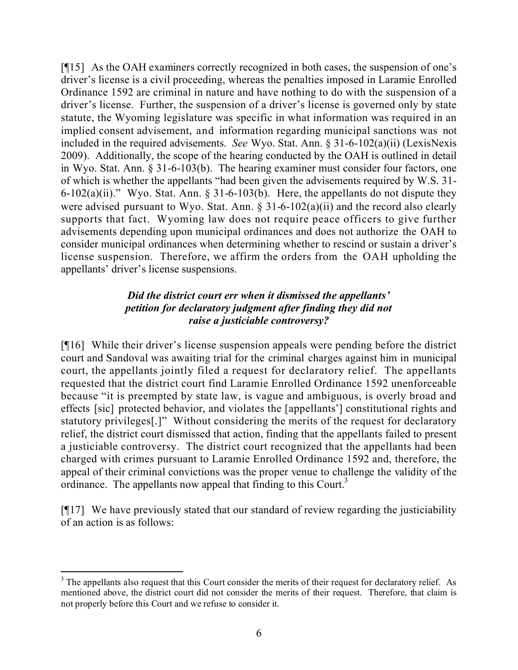[¶15] As the OAH examiners correctly recognized in both cases, the suspension of one's driver's license is a civil proceeding, whereas the penalties imposed in Laramie Enrolled Ordinance 1592 are criminal in nature and have nothing to do with the suspension of a driver's license. Further, the suspension of a driver's license is governed only by state statute, the Wyoming legislature was specific in what information was required in an implied consent advisement, and information regarding municipal sanctions was not included in the required advisements. *See* Wyo. Stat. Ann. § 31-6-102(a)(ii) (LexisNexis 2009). Additionally, the scope of the hearing conducted by the OAH is outlined in detail in Wyo. Stat. Ann. § 31-6-103(b). The hearing examiner must consider four factors, one of which is whether the appellants "had been given the advisements required by W.S. 31- 6-102(a)(ii)." Wyo. Stat. Ann.  $\S$  31-6-103(b). Here, the appellants do not dispute they were advised pursuant to Wyo. Stat. Ann.  $\S 31-6-102(a)(ii)$  and the record also clearly supports that fact. Wyoming law does not require peace officers to give further advisements depending upon municipal ordinances and does not authorize the OAH to consider municipal ordinances when determining whether to rescind or sustain a driver's license suspension. Therefore, we affirm the orders from the OAH upholding the appellants' driver's license suspensions.

# *Did the district court err when it dismissed the appellants' petition for declaratory judgment after finding they did not raise a justiciable controversy?*

[¶16] While their driver's license suspension appeals were pending before the district court and Sandoval was awaiting trial for the criminal charges against him in municipal court, the appellants jointly filed a request for declaratory relief. The appellants requested that the district court find Laramie Enrolled Ordinance 1592 unenforceable because "it is preempted by state law, is vague and ambiguous, is overly broad and effects [sic] protected behavior, and violates the [appellants'] constitutional rights and statutory privileges[.]" Without considering the merits of the request for declaratory relief, the district court dismissed that action, finding that the appellants failed to present a justiciable controversy. The district court recognized that the appellants had been charged with crimes pursuant to Laramie Enrolled Ordinance 1592 and, therefore, the appeal of their criminal convictions was the proper venue to challenge the validity of the ordinance. The appellants now appeal that finding to this Court.<sup>3</sup>

[¶17] We have previously stated that our standard of review regarding the justiciability of an action is as follows:

l <sup>3</sup> The appellants also request that this Court consider the merits of their request for declaratory relief. As mentioned above, the district court did not consider the merits of their request. Therefore, that claim is not properly before this Court and we refuse to consider it.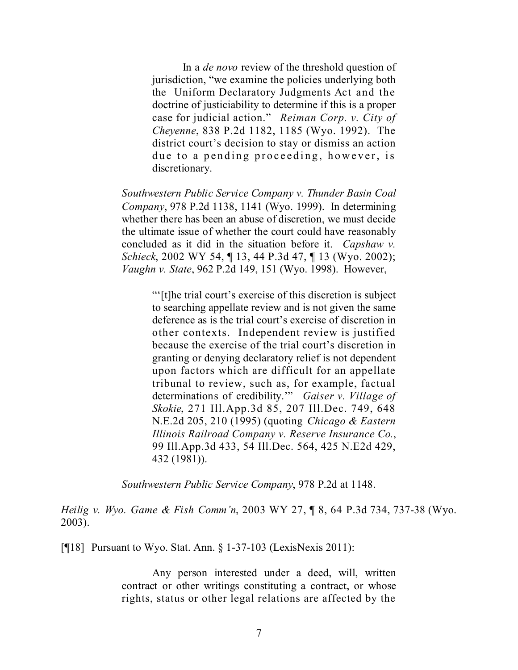In a *de novo* review of the threshold question of jurisdiction, "we examine the policies underlying both the Uniform Declaratory Judgments Act and the doctrine of justiciability to determine if this is a proper case for judicial action." *Reiman Corp. v. City of Cheyenne*, 838 P.2d 1182, 1185 (Wyo. 1992). The district court's decision to stay or dismiss an action due to a pending proceeding, however, is discretionary.

*Southwestern Public Service Company v. Thunder Basin Coal Company*, 978 P.2d 1138, 1141 (Wyo. 1999). In determining whether there has been an abuse of discretion, we must decide the ultimate issue of whether the court could have reasonably concluded as it did in the situation before it. *Capshaw v. Schieck*, 2002 WY 54, ¶ 13, 44 P.3d 47, ¶ 13 (Wyo. 2002); *Vaughn v. State*, 962 P.2d 149, 151 (Wyo. 1998). However,

> "'[t]he trial court's exercise of this discretion is subject to searching appellate review and is not given the same deference as is the trial court's exercise of discretion in other contexts. Independent review is justified because the exercise of the trial court's discretion in granting or denying declaratory relief is not dependent upon factors which are difficult for an appellate tribunal to review, such as, for example, factual determinations of credibility.'" *Gaiser v. Village of Skokie*, 271 Ill.App.3d 85, 207 Ill.Dec. 749, 648 N.E.2d 205, 210 (1995) (quoting *Chicago & Eastern Illinois Railroad Company v. Reserve Insurance Co.*, 99 Ill.App.3d 433, 54 Ill.Dec. 564, 425 N.E2d 429, 432 (1981)).

*Southwestern Public Service Company*, 978 P.2d at 1148.

*Heilig v. Wyo. Game & Fish Comm'n*, 2003 WY 27, ¶ 8, 64 P.3d 734, 737-38 (Wyo. 2003).

[¶18] Pursuant to Wyo. Stat. Ann. § 1-37-103 (LexisNexis 2011):

Any person interested under a deed, will, written contract or other writings constituting a contract, or whose rights, status or other legal relations are affected by the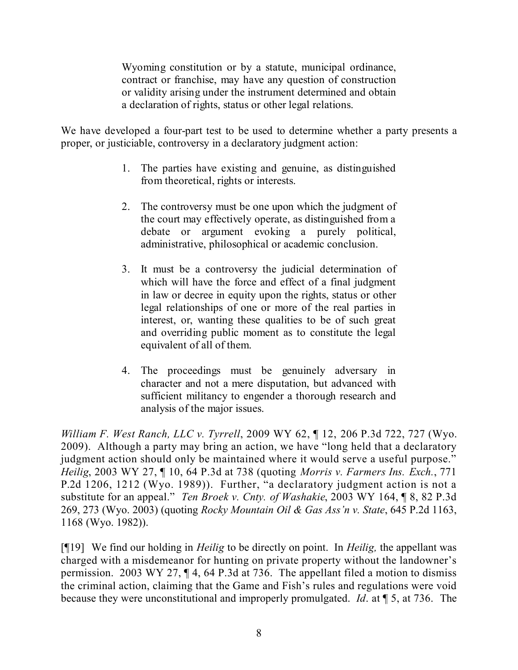Wyoming constitution or by a statute, municipal ordinance, contract or franchise, may have any question of construction or validity arising under the instrument determined and obtain a declaration of rights, status or other legal relations.

We have developed a four-part test to be used to determine whether a party presents a proper, or justiciable, controversy in a declaratory judgment action:

- 1. The parties have existing and genuine, as distinguished from theoretical, rights or interests.
- 2. The controversy must be one upon which the judgment of the court may effectively operate, as distinguished from a debate or argument evoking a purely political, administrative, philosophical or academic conclusion.
- 3. It must be a controversy the judicial determination of which will have the force and effect of a final judgment in law or decree in equity upon the rights, status or other legal relationships of one or more of the real parties in interest, or, wanting these qualities to be of such great and overriding public moment as to constitute the legal equivalent of all of them.
- 4. The proceedings must be genuinely adversary in character and not a mere disputation, but advanced with sufficient militancy to engender a thorough research and analysis of the major issues.

*William F. West Ranch, LLC v. Tyrrell*, 2009 WY 62, ¶ 12, 206 P.3d 722, 727 (Wyo. 2009). Although a party may bring an action, we have "long held that a declaratory judgment action should only be maintained where it would serve a useful purpose." *Heilig*, 2003 WY 27, ¶ 10, 64 P.3d at 738 (quoting *Morris v. Farmers Ins. Exch.*, 771 P.2d 1206, 1212 (Wyo. 1989)). Further, "a declaratory judgment action is not a substitute for an appeal." *Ten Broek v. Cnty. of Washakie*, 2003 WY 164, ¶ 8, 82 P.3d 269, 273 (Wyo. 2003) (quoting *Rocky Mountain Oil & Gas Ass'n v. State*, 645 P.2d 1163, 1168 (Wyo. 1982)).

[¶19] We find our holding in *Heilig* to be directly on point. In *Heilig,* the appellant was charged with a misdemeanor for hunting on private property without the landowner's permission. 2003 WY 27, ¶ 4, 64 P.3d at 736. The appellant filed a motion to dismiss the criminal action, claiming that the Game and Fish's rules and regulations were void because they were unconstitutional and improperly promulgated. *Id*. at ¶ 5, at 736. The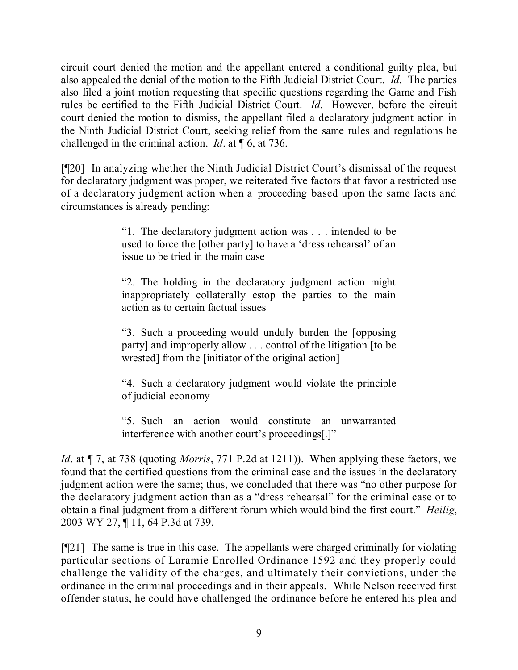circuit court denied the motion and the appellant entered a conditional guilty plea, but also appealed the denial of the motion to the Fifth Judicial District Court. *Id.* The parties also filed a joint motion requesting that specific questions regarding the Game and Fish rules be certified to the Fifth Judicial District Court. *Id.* However, before the circuit court denied the motion to dismiss, the appellant filed a declaratory judgment action in the Ninth Judicial District Court, seeking relief from the same rules and regulations he challenged in the criminal action. *Id*. at ¶ 6, at 736.

[¶20] In analyzing whether the Ninth Judicial District Court's dismissal of the request for declaratory judgment was proper, we reiterated five factors that favor a restricted use of a declaratory judgment action when a proceeding based upon the same facts and circumstances is already pending:

> "1. The declaratory judgment action was . . . intended to be used to force the [other party] to have a 'dress rehearsal' of an issue to be tried in the main case

> "2. The holding in the declaratory judgment action might inappropriately collaterally estop the parties to the main action as to certain factual issues

> "3. Such a proceeding would unduly burden the [opposing party] and improperly allow . . . control of the litigation [to be wrested] from the [initiator of the original action]

> "4. Such a declaratory judgment would violate the principle of judicial economy

> "5. Such an action would constitute an unwarranted interference with another court's proceedings[.]"

*Id*. at ¶ 7, at 738 (quoting *Morris*, 771 P.2d at 1211)). When applying these factors, we found that the certified questions from the criminal case and the issues in the declaratory judgment action were the same; thus, we concluded that there was "no other purpose for the declaratory judgment action than as a "dress rehearsal" for the criminal case or to obtain a final judgment from a different forum which would bind the first court." *Heilig*, 2003 WY 27, ¶ 11, 64 P.3d at 739.

[¶21] The same is true in this case. The appellants were charged criminally for violating particular sections of Laramie Enrolled Ordinance 1592 and they properly could challenge the validity of the charges, and ultimately their convictions, under the ordinance in the criminal proceedings and in their appeals. While Nelson received first offender status, he could have challenged the ordinance before he entered his plea and